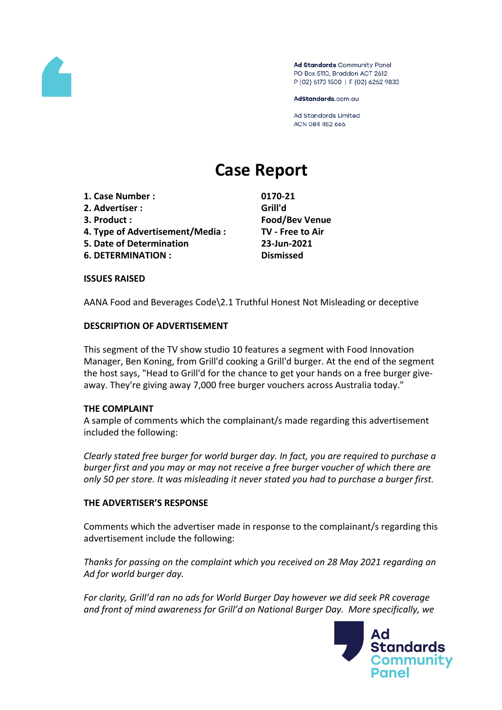

Ad Standards Community Panel PO Box 5110, Braddon ACT 2612 P (02) 6173 1500 | F (02) 6262 9833

AdStandards.com.au

**Ad Standards Limited** ACN 084 452 666

# **Case Report**

- **1. Case Number : 0170-21**
- **2. Advertiser : Grill'd**
- 
- **4. Type of Advertisement/Media : TV - Free to Air**
- **5. Date of Determination 23-Jun-2021**
- **6. DETERMINATION : Dismissed**

**3. Product : Food/Bev Venue**

## **ISSUES RAISED**

AANA Food and Beverages Code\2.1 Truthful Honest Not Misleading or deceptive

## **DESCRIPTION OF ADVERTISEMENT**

This segment of the TV show studio 10 features a segment with Food Innovation Manager, Ben Koning, from Grill'd cooking a Grill'd burger. At the end of the segment the host says, "Head to Grill'd for the chance to get your hands on a free burger giveaway. They're giving away 7,000 free burger vouchers across Australia today."

## **THE COMPLAINT**

A sample of comments which the complainant/s made regarding this advertisement included the following:

*Clearly stated free burger for world burger day. In fact, you are required to purchase a burger first and you may or may not receive a free burger voucher of which there are only 50 per store. It was misleading it never stated you had to purchase a burger first.*

## **THE ADVERTISER'S RESPONSE**

Comments which the advertiser made in response to the complainant/s regarding this advertisement include the following:

*Thanks for passing on the complaint which you received on 28 May 2021 regarding an Ad for world burger day.*

*For clarity, Grill'd ran no ads for World Burger Day however we did seek PR coverage and front of mind awareness for Grill'd on National Burger Day. More specifically, we*

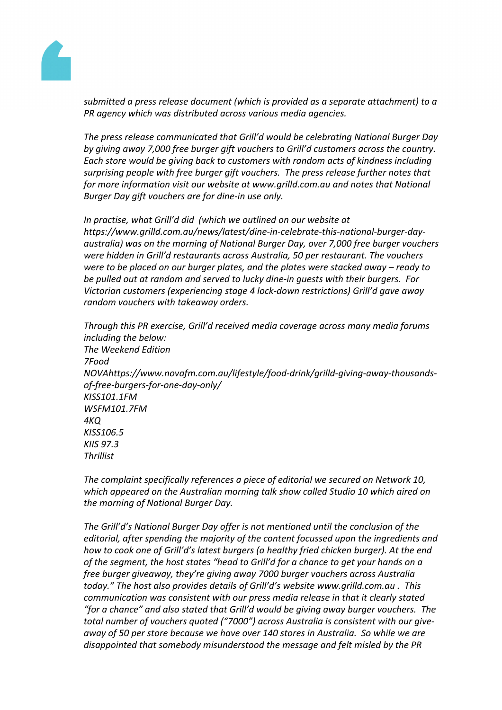

*submitted a press release document (which is provided as a separate attachment) to a PR agency which was distributed across various media agencies.*

*The press release communicated that Grill'd would be celebrating National Burger Day by giving away 7,000 free burger gift vouchers to Grill'd customers across the country. Each store would be giving back to customers with random acts of kindness including surprising people with free burger gift vouchers. The press release further notes that for more information visit our website at www.grilld.com.au and notes that National Burger Day gift vouchers are for dine-in use only.*

*In practise, what Grill'd did (which we outlined on our website at https://www.grilld.com.au/news/latest/dine-in-celebrate-this-national-burger-dayaustralia) was on the morning of National Burger Day, over 7,000 free burger vouchers were hidden in Grill'd restaurants across Australia, 50 per restaurant. The vouchers were to be placed on our burger plates, and the plates were stacked away – ready to be pulled out at random and served to lucky dine-in guests with their burgers. For Victorian customers (experiencing stage 4 lock-down restrictions) Grill'd gave away random vouchers with takeaway orders.*

*Through this PR exercise, Grill'd received media coverage across many media forums including the below: The Weekend Edition 7Food NOVAhttps://www.novafm.com.au/lifestyle/food-drink/grilld-giving-away-thousandsof-free-burgers-for-one-day-only/ KISS101.1FM WSFM101.7FM 4KQ KISS106.5 KIIS 97.3 Thrillist*

*The complaint specifically references a piece of editorial we secured on Network 10, which appeared on the Australian morning talk show called Studio 10 which aired on the morning of National Burger Day.* 

*The Grill'd's National Burger Day offer is not mentioned until the conclusion of the editorial, after spending the majority of the content focussed upon the ingredients and how to cook one of Grill'd's latest burgers (a healthy fried chicken burger). At the end of the segment, the host states "head to Grill'd for a chance to get your hands on a free burger giveaway, they're giving away 7000 burger vouchers across Australia today." The host also provides details of Grill'd's website www.grilld.com.au . This communication was consistent with our press media release in that it clearly stated "for a chance" and also stated that Grill'd would be giving away burger vouchers. The total number of vouchers quoted ("7000") across Australia is consistent with our giveaway of 50 per store because we have over 140 stores in Australia. So while we are disappointed that somebody misunderstood the message and felt misled by the PR*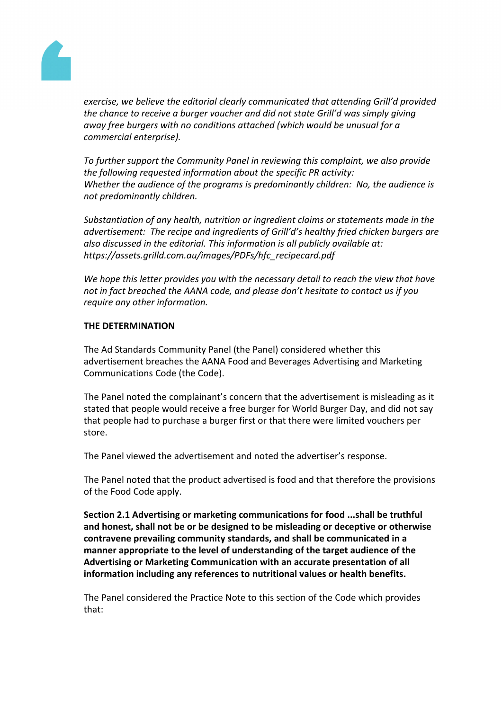

*exercise, we believe the editorial clearly communicated that attending Grill'd provided the chance to receive a burger voucher and did not state Grill'd was simply giving away free burgers with no conditions attached (which would be unusual for a commercial enterprise).*

*To further support the Community Panel in reviewing this complaint, we also provide the following requested information about the specific PR activity: Whether the audience of the programs is predominantly children: No, the audience is not predominantly children.*

*Substantiation of any health, nutrition or ingredient claims or statements made in the advertisement: The recipe and ingredients of Grill'd's healthy fried chicken burgers are also discussed in the editorial. This information is all publicly available at: https://assets.grilld.com.au/images/PDFs/hfc\_recipecard.pdf*

*We hope this letter provides you with the necessary detail to reach the view that have not in fact breached the AANA code, and please don't hesitate to contact us if you require any other information.*

## **THE DETERMINATION**

The Ad Standards Community Panel (the Panel) considered whether this advertisement breaches the AANA Food and Beverages Advertising and Marketing Communications Code (the Code).

The Panel noted the complainant's concern that the advertisement is misleading as it stated that people would receive a free burger for World Burger Day, and did not say that people had to purchase a burger first or that there were limited vouchers per store.

The Panel viewed the advertisement and noted the advertiser's response.

The Panel noted that the product advertised is food and that therefore the provisions of the Food Code apply.

**Section 2.1 Advertising or marketing communications for food ...shall be truthful and honest, shall not be or be designed to be misleading or deceptive or otherwise contravene prevailing community standards, and shall be communicated in a manner appropriate to the level of understanding of the target audience of the Advertising or Marketing Communication with an accurate presentation of all information including any references to nutritional values or health benefits.**

The Panel considered the Practice Note to this section of the Code which provides that: